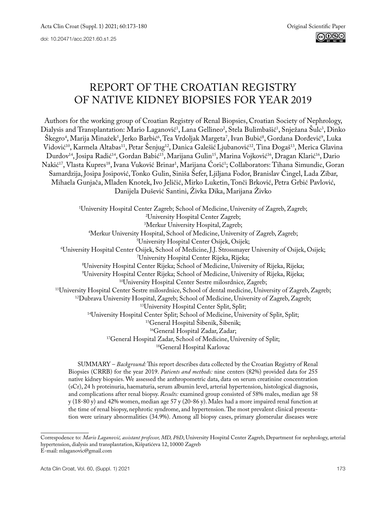# REPORT OF THE CROATIAN REGISTRY OF NATIVE KIDNEY BIOPSIES FOR YEAR 2019

Authors for the working group of Croatian Registry of Renal Biopsies, Croatian Society of Nephrology, Dialysis and Transplantation: Mario Laganović<sup>1</sup>, Lana Gellineo<sup>2</sup>, Stela Bulimbašić<sup>1</sup>, Snježana Sulc<sup>3</sup>, Dinko Skegro<sup>4</sup>, Marija Minažek<sup>3</sup>, Jerko Barbić<sup>6</sup>, Tea Vrdoljak Margeta′, Ivan Bubić<sup>8</sup>, Gordana Đorđević<sup>9</sup>, Luka Vidović<sup>10</sup>, Karmela Altabas<sup>11</sup>, Petar Šenjug<sup>12</sup>, Danica Galešić Ljubanović<sup>12</sup>, Tina Đogaš<sup>13</sup>, Merica Glavina Durdov<sup>14</sup>, Josipa Radić<sup>14</sup>, Gordan Babić<sup>15</sup>, Marijana Gulin<sup>15</sup>, Marina Vojković<sup>16</sup>, Dragan Klarić<sup>16</sup>, Dario Nakić<sup>17</sup>, Vlasta Kupres<sup>18</sup>, Ivana Vuković Brinar<sup>1</sup>, Marijana Corić<sup>1</sup>; Collaborators: Tihana Simundic, Goran Samardzija, Josipa Josipović, Tonko Gulin, Siniša Šefer, Ljiljana Fodor, Branislav Čingel, Lada Zibar, Mihaela Gunjača, Mladen Knotek, Ivo Jeličić, Mirko Luketin, Tonči Brković, Petra Grbić Pavlović, Danijela Dušević Santini, Živka Dika, Marijana Živko

1 University Hospital Center Zagreb; School of Medicine, University of Zagreb, Zagreb; 2 University Hospital Center Zagreb; <sup>3</sup>Merkur University Hospital, Zagreb; Merkur University Hospital, Zagreb;<br>Merkur University Hospital, School of Medicine, Universit<sup>4</sup> Merkur University Hospital, School of Medicine, University of Zagreb, Zagreb; 5 University Hospital Center Osijek, Osijek;<br>University Hospital Center Osijek. School of Medicine. I.I. Strossmaver! University Hospital Center Osijek, School of Medicine, J.J. Strossmayer University of Osijek, Osijek; 7 University Hospital Center Rijeka, Rijeka; 8 University Hospital Center Rijeka; School of Medicine, University of Rijeka, Rijeka; <sup>9</sup>University Hospital Center Rijeka; School of Medicine, University of Rijeka, Rijeka; <sup>10</sup>University Hospital Center Sestre milosrdnice, Zagreb;<br>
<sup>11</sup>University Hospital Center Sestre milosrdnice, School of dental medicine, University of Zagreb, Zagreb;<br>
<sup>12</sup>Dubrava University Hospital, Zagreb; School of M <sup>17</sup>General Hospital Zadar, School of Medicine, University of Split;<br><sup>18</sup>General Hospital Karlovac

SUMMARY – *Background:* This report describes data collected by the Croatian Registry of Renal Biopsies (CRRB) for the year 2019. *Patients and methods:* nine centers (82%) provided data for 255 native kidney biopsies. We assessed the anthropometric data, data on serum creatinine concentration (sCr), 24 h proteinuria, haematuria, serum albumin level, arterial hypertension, histological diagnosis, and complications after renal biopsy. *Results:* examined group consisted of 58% males, median age 58 y (18-80 y) and 42% women, median age 57 y (20-86 y). Males had a more impaired renal function at the time of renal biopsy, nephrotic syndrome, and hypertension. The most prevalent clinical presentation were urinary abnormalities (34.9%). Among all biopsy cases, primary glomerular diseases were

Correspodence to: *Mario Laganović, assistant professor, MD, PhD*, University Hospital Center Zagreb, Department for nephrology, arterial hypertension, dialysis and transplantation, Kišpatićeva 12, 10000 Zagreb E-mail: [mlaganovic@gmail.com](mailto:mlaganovic%40gmail.com?subject=)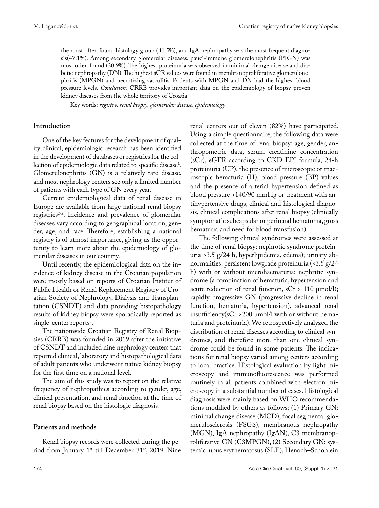the most often found histology group (41.5%), and IgA nephropathy was the most frequent diagnosis(47.1%). Among secondary glomerular diseases, pauci-immune glomerulonephritis (PIGN) was most often found (30.9%). The highest proteinuria was observed in minimal change disease and diabetic nephropathy (DN). The highest sCR values were found in membranoproliferative glomerulonephritis (MPGN) and necrotizing vasculitis. Patients with MPGN and DN had the highest blood pressure levels. *Conclusion:* CRRB provides important data on the epidemiology of biopsy-proven kidney diseases from the whole territory of Croatia

Key words: *registry, renal biopsy, glomerular disease, epidemiology*

## **Introduction**

One of the key features for the development of quality clinical, epidemiologic research has been identified in the development of databases or registries for the collection of epidemiologic data related to specific disease<sup>1</sup>. Glomerulonephritis (GN) is a relatively rare disease, and most nephrology centers see only a limited number of patients with each type of GN every year.

Current epidemiological data of renal disease in Europe are available from large national renal biopsy registries<sup>2-5</sup>. Incidence and prevalence of glomerular diseases vary according to geographical location, gender, age, and race. Therefore, establishing a national registry is of utmost importance, giving us the opportunity to learn more about the epidemiology of glomerular diseases in our country.

Until recently, the epidemiological data on the incidence of kidney disease in the Croatian population were mostly based on reports of Croatian Institut of Public Health or Renal Replacement Registry of Croatian Society of Nephrology, Dialysis and Transplantation (CSNDT) and data providing histopathology results of kidney biopsy were sporadically reported as single-center reports<sup>6</sup>.

The nationwide Croatian Registry of Renal Biopsies (CRRB) was founded in 2019 after the initiative of CSNDT and included nine nephrology centers that reported clinical, laboratory and histopathological data of adult patients who underwent native kidney biopsy for the first time on a national level.

The aim of this study was to report on the relative frequency of nephropathies according to gender, age, clinical presentation, and renal function at the time of renal biopsy based on the histologic diagnosis.

# **Patients and methods**

Renal biopsy records were collected during the period from January 1<sup>st</sup> till December 31<sup>st</sup>, 2019. Nine renal centers out of eleven (82%) have participated. Using a simple questionnaire, the following data were collected at the time of renal biopsy: age, gender, anthropometric data, serum creatinine concentration (sCr), eGFR according to CKD EPI formula, 24-h proteinuria (UP), the presence of microscopic or macroscopic hematuria (H), blood pressure (BP) values and the presence of arterial hypertension defined as blood pressure >140/90 mmHg or treatment with antihypertensive drugs, clinical and histological diagnosis, clinical complications after renal biopsy (clinically symptomatic subcapsular or perirenal hematoma, gross hematuria and need for blood transfusion).

The following clinical syndromes were assessed at the time of renal biopsy: nephrotic syndrome proteinuria >3.5 g/24 h, hyperlipidemia, edema); urinary abnormalities: persistent lowgrade proteinuria (<3.5 g/24 h) with or without microhaematuria; nephritic syndrome (a combination of hematuria, hypertension and acute reduction of renal function,  $sCr > 110 \mu m o l/l$ ); rapidly progressive GN (progressive decline in renal function, hematuria, hypertension), advanced renal insufficiency(sCr >200 µmol/l with or without hematuria and proteinuria). We retrospectively analyzed the distribution of renal diseases according to clinical syndromes, and therefore more than one clinical syndrome could be found in some patients. The indications for renal biopsy varied among centers according to local practice. Histological evaluation by light microscopy and immunofluorescence was performed routinely in all patients combined with electron microscopy in a substantial number of cases. Histological diagnosis were mainly based on WHO recommendations modified by others as follows: (1) Primary GN: minimal change disease (MCD), focal segmental glomerulosclerosis (FSGS), membranous nephropathy (MGN), IgA nephropathy (IgAN), C3 membranoproliferative GN (C3MPGN), (2) Secondary GN: systemic lupus erythematosus (SLE), Henoch–Schonlein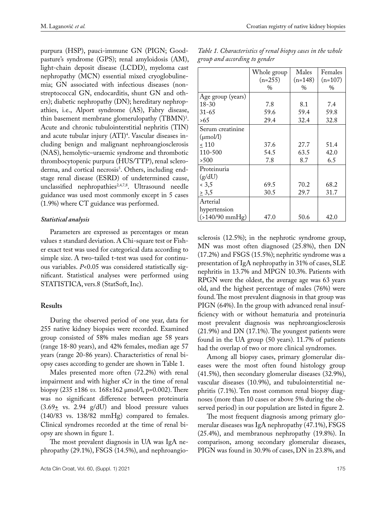purpura (HSP), pauci-immune GN (PIGN; Goodpasture's syndrome (GPS); renal amyloidosis (AM), light-chain deposit disease (LCDD), myeloma cast nephropathy (MCN) essential mixed cryoglobulinemia; GN associated with infectious diseases (nonstreptococcal GN, endocarditis, shunt GN and others); diabetic nephropathy (DN); hereditary nephropathies, i.e., Alport syndrome (AS), Fabry disease, thin basement membrane glomerulopathy  $(TBMN)^3$ . Acute and chronic tubulointerstitial nephritis (TIN) and acute tubular injury (ATI)4 . Vascular diseases including benign and malignant nephroangiosclerosis (NAS), hemolytic–uraemic syndrome and thrombotic thrombocytopenic purpura (HUS/TTP), renal scleroderma, and cortical necrosis<sup>5</sup>. Others, including endstage renal disease (ESRD) of undetermined cause, unclassified nephropathies<sup>2,4,7,8</sup>. Ultrasound needle guidance was used most commonly except in 5 cases (1.9%) where CT guidance was performed.

#### *Statistical analysis*

Parameters are expressed as percentages or mean values ± standard deviation. A Chi-square test or Fisher exact test was used for categorical data according to simple size. A two-tailed t-test was used for continuous variables. *P*<0.05 was considered statistically significant. Statistical analyses were performed using STATISTICA, vers.8 (StatSoft, Inc).

#### **Results**

During the observed period of one year, data for 255 native kidney biopsies were recorded. Examined group consisted of 58% males median age 58 years (range 18-80 years), and 42% females, median age 57 years (range 20-86 years). Characteristics of renal biopsy cases according to gender are shown in Table 1.

Males presented more often (72.2%) with renal impairment and with higher sCr in the time of renal biopsy (235 ±186 *vs.* 168±162 µmol/l, p=0.002). There was no significant difference between proteinuria  $(3.69<sub>±</sub>$  vs. 2.94 g/dU) and blood pressure values (140/83 vs. 138/82 mmHg) compared to females. Clinical syndromes recorded at the time of renal biopsy are shown in figure 1.

The most prevalent diagnosis in UA was IgA nephropathy (29.1%), FSGS (14.5%), and nephroangio-

| Table 1. Characteristics of renal biopsy cases in the whole |  |  |  |
|-------------------------------------------------------------|--|--|--|
| group and according to gender                               |  |  |  |

|                      | Whole group | Males         | Females       |
|----------------------|-------------|---------------|---------------|
|                      | $(n=255)$   | $(n=148)$     | $(n=107)$     |
|                      | $\%$        | $\frac{0}{0}$ | $\frac{0}{0}$ |
| Age group (years)    |             |               |               |
| $18 - 30$            | 7.8         | 8.1           | 7.4           |
| $31 - 65$            | 59.6        | 59.4          | 59.8          |
| >6.5                 | 29.4        | 32.4          | 32.8          |
| Serum creatinine     |             |               |               |
| $(\mu \text{mol/l})$ |             |               |               |
| ~110                 | 37.6        | 27.7          | 51.4          |
| 110-500              | 54.5        | 63.5          | 42.0          |
| >500                 | 7.8         | 8.7           | 6.5           |
| Proteinuria          |             |               |               |
| (g/dU)               |             |               |               |
| 3,5                  | 69.5        | 70.2          | 68.2          |
| $\geq 3.5$           | 30.5        | 29.7          | 31.7          |
| Arterial             |             |               |               |
| hypertension         |             |               |               |
| $( > 140/90$ mmHg)   | 47.0        | 50.6          | 42.0          |

sclerosis (12.5%); in the nephrotic syndrome group, MN was most often diagnosed (25.8%), then DN (17.2%) and FSGS (15.5%); nephritic syndrome was a presentation of IgA nephropathy in 31% of cases, SLE nephritis in 13.7% and MPGN 10.3%. Patients with RPGN were the oldest, the average age was 63 years old, and the highest percentage of males (76%) were found. The most prevalent diagnosis in that group was PIGN (64%). In the group with advanced renal insufficiency with or without hematuria and proteinuria most prevalent diagnosis was nephroangiosclerosis (21.9%) and DN (17.1%). The youngest patients were found in the UA group (50 years). 11.7% of patients had the overlap of two or more clinical syndromes.

Among all biopsy cases, primary glomerular diseases were the most often found histology group (41.5%), then secondary glomerular diseases (32.9%), vascular diseases (10.9%), and tubulointerstitial nephritis (7.1%). Ten most common renal biopsy diagnoses (more than 10 cases or above 5% during the observed period) in our population are listed in figure 2.

The most frequent diagnosis among primary glomerular diseases was IgA nephropathy (47.1%), FSGS (25.4%), and membranous nephropathy (19.8%). In comparison, among secondary glomerular diseases, PIGN was found in 30.9% of cases, DN in 23.8%, and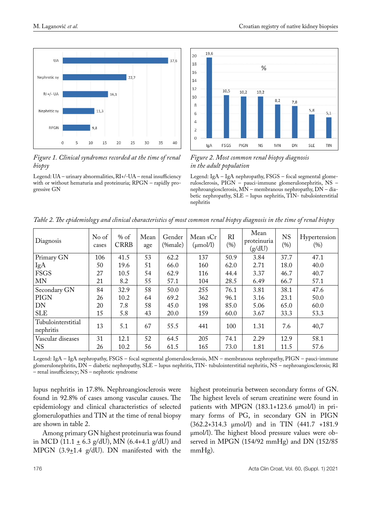

*Figure 1. Clinical syndromes recorded at the time of renal biopsy*

Legend: UA – urinary abnormalities, RI+/-UA – renal insufficiency with or without hematuria and proteinuria; RPGN – rapidly progressive GN



*Figure 2. Most common renal biopsy diagnosis in the adult population*

Legend: IgA – IgA nephropathy, FSGS – focal segmental glomerulosclerosis, PIGN – pauci-immune glomerulonephritis, NS – nephroangiosclerosis, MN – membranous nephropathy, DN – diabetic nephropathy, SLE – lupus nephritis, TIN- tubulointerstitial nephritis

| Diagnosis                       | No of<br>cases | $%$ of<br><b>CRRB</b> | Mean<br>age | Gender<br>$(\%male)$ | Mean sCr<br>$(\mu \text{mol/l})$ | RI<br>(%) | Mean<br>proteinuria<br>(g/dU) | <b>NS</b><br>(%) | Hypertension<br>(96) |
|---------------------------------|----------------|-----------------------|-------------|----------------------|----------------------------------|-----------|-------------------------------|------------------|----------------------|
| Primary GN                      | 106            | 41.5                  | 53          | 62.2                 | 137                              | 50.9      | 3.84                          | 37.7             | 47.1                 |
| IgA                             | 50             | 19.6                  | 51          | 66.0                 | 160                              | 62.0      | 2.71                          | 18.0             | 40.0                 |
| <b>FSGS</b>                     | 27             | 10.5                  | 54          | 62.9                 | 116                              | 44.4      | 3.37                          | 46.7             | 40.7                 |
| MN                              | 21             | 8.2                   | 55          | 57.1                 | 104                              | 28.5      | 6.49                          | 66.7             | 57.1                 |
| Secondary GN                    | 84             | 32.9                  | 58          | 50.0                 | 255                              | 76.1      | 3.81                          | 38.1             | 47.6                 |
| <b>PIGN</b>                     | 26             | 10.2                  | 64          | 69.2                 | 362                              | 96.1      | 3.16                          | 23.1             | 50.0                 |
| DN                              | 20             | 7.8                   | 58          | 45.0                 | 198                              | 85.0      | 5.06                          | 65.0             | 60.0                 |
| <b>SLE</b>                      | 15             | 5.8                   | 43          | 20.0                 | 159                              | 60.0      | 3.67                          | 33.3             | 53.3                 |
| Tubulointerstitial<br>nephritis | 13             | 5.1                   | 67          | 55.5                 | 441                              | 100       | 1.31                          | 7.6              | 40,7                 |
| Vascular diseases               | 31             | 12.1                  | 52          | 64.5                 | 205                              | 74.1      | 2.29                          | 12.9             | 58.1                 |
| $\overline{\rm NS}$             | 26             | 10.2                  | 56          | 61.5                 | 165                              | 73.0      | 1.81                          | 11.5             | 57.6                 |

*Table 2. The epidemiology and clinical characteristics of most common renal biopsy diagnosis in the time of renal biopsy*

Legend: IgA – IgA nephropathy, FSGS – focal segmental glomerulosclerosis, MN – membranous nephropathy, PIGN – pauci-immune glomerulonephritis, DN – diabetic nephropathy, SLE – lupus nephritis, TIN- tubulointerstitial nephritis, NS – nephroangiosclerosis; RI – renal insufficiency; NS – nephrotic syndrome

lupus nephritis in 17.8%. Nephroangiosclerosis were found in 92.8% of cases among vascular causes. The epidemiology and clinical characteristics of selected glomerulopathies and TIN at the time of renal biopsy are shown in table 2.

Among primary GN highest proteinuria was found in MCD (11.1  $\pm$  6.3 g/dU), MN (6.4+4.1 g/dU) and MPGN  $(3.9 \pm 1.4 \text{ g/dU})$ . DN manifested with the highest proteinuria between secondary forms of GN. The highest levels of serum creatinine were found in patients with MPGN (183.1+123.6 µmol/l) in primary forms of PG, in secondary GN in PIGN (362.2+314.3 µmol/l) and in TIN (441.7 +181.9 µmol/l). The highest blood pressure values were observed in MPGN (154/92 mmHg) and DN (152/85 mmHg).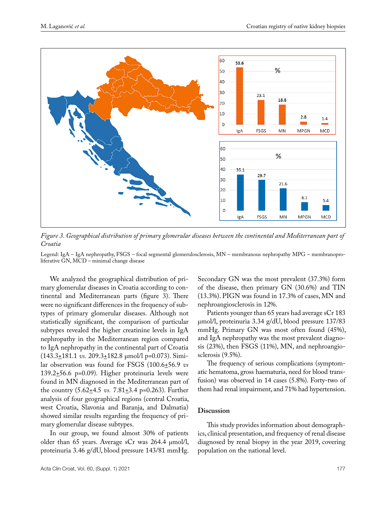

*Figure 3. Geographical distribution of primary glomerular diseases between the continental and Mediterranean part of Croatia*

Legend: IgA – IgA nephropathy, FSGS – focal segmental glomerulosclerosis, MN – membranous nephropathy MPG – membranoproliferative GN, MCD – minimal change disease

We analyzed the geographical distribution of primary glomerular diseases in Croatia according to continental and Mediterranean parts (figure 3). There were no significant differences in the frequency of subtypes of primary glomerular diseases. Although not statistically significant, the comparison of particular subtypes revealed the higher creatinine levels in IgA nephropathy in the Mediterranean region compared to IgA nephropathy in the continental part of Croatia (143.3+181.1 *vs.* 209.3+182.8 µmol/l p=0.073). Similar observation was found for FSGS (100.6<sup>+56.9</sup> *vs* 139.2 $\pm$ 56.6 p=0.09). Higher proteinuria levels were found in MN diagnosed in the Mediterranean part of the country  $(5.62 \pm 4.5 \text{ vs. } 7.81 \pm 3.4 \text{ p=0.263})$ . Further analysis of four geographical regions (central Croatia, west Croatia, Slavonia and Baranja, and Dalmatia) showed similar results regarding the frequency of primary glomerular disease subtypes.

In our group, we found almost 30% of patients older than 65 years. Average sCr was 264.4 µmol/l, proteinuria 3.46 g/dU, blood pressure 143/81 mmHg. Secondary GN was the most prevalent (37.3%) form of the disease, then primary GN (30.6%) and TIN (13.3%). PIGN was found in 17.3% of cases, MN and nephroangiosclerosis in 12%.

Patients younger than 65 years had average sCr 183 µmol/l, proteinuria 3.34 g/dU, blood pressure 137/83 mmHg. Primary GN was most often found (45%), and IgA nephropathy was the most prevalent diagnosis (23%), then FSGS (11%), MN, and nephroangiosclerosis (9.5%).

The frequency of serious complications (symptomatic hematoma, gross haematuria, need for blood transfusion) was observed in 14 cases (5.8%). Forty-two of them had renal impairment, and 71% had hypertension.

#### **Discussion**

This study provides information about demographics, clinical presentation, and frequency of renal disease diagnosed by renal biopsy in the year 2019, covering population on the national level.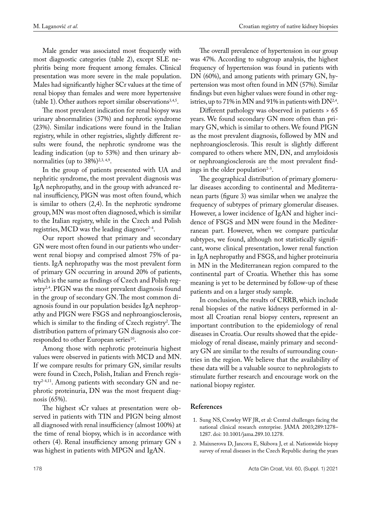Male gender was associated most frequently with most diagnostic categories (table 2), except SLE nephritis being more frequent among females. Clinical presentation was more severe in the male population. Males had significantly higher SCr values at the time of renal biopsy than females and were more hypertensive (table 1). Other authors report similar observations<sup>3,4,5</sup>.

The most prevalent indication for renal biopsy was urinary abnormalities (37%) and nephrotic syndrome (23%). Similar indications were found in the Italian registry, while in other registries, slightly different results were found, the nephrotic syndrome was the leading indication (up to 53%) and then urinary abnormalities (up to  $38\%/^{2,3,4,9}$ .

In the group of patients presented with UA and nephritic syndrome, the most prevalent diagnosis was IgA nephropathy, and in the group with advanced renal insufficiency, PIGN was most often found, which is similar to others (2,4). In the nephrotic syndrome group, MN was most often diagnosed, which is similar to the Italian registry, while in the Czech and Polish registries, MCD was the leading diagnose<sup> $2-4$ </sup>.

Our report showed that primary and secondary GN were most often found in our patients who underwent renal biopsy and comprised almost 75% of patients. IgA nephropathy was the most prevalent form of primary GN occurring in around 20% of patients, which is the same as findings of Czech and Polish registry<sup>2,4</sup>. PIGN was the most prevalent diagnosis found in the group of secondary GN. The most common diagnosis found in our population besides IgA nephropathy and PIGN were FSGS and nephroangiosclerosis, which is similar to the finding of Czech registry<sup>2</sup>. The distribution pattern of primary GN diagnosis also corresponded to other European series<sup>10</sup>.

Among those with nephrotic proteinuria highest values were observed in patients with MCD and MN. If we compare results for primary GN, similar results were found in Czech, Polish, Italian and French registry2-4,11. Among patients with secondary GN and nephrotic proteinuria, DN was the most frequent diagnosis (65%).

The highest sCr values at presentation were observed in patients with TIN and PIGN being almost all diagnosed with renal insufficiency (almost 100%) at the time of renal biopsy, which is in accordance with others (4). Renal insufficiency among primary GN s was highest in patients with MPGN and IgAN.

The overall prevalence of hypertension in our group was 47%. According to subgroup analysis, the highest frequency of hypertension was found in patients with DN (60%), and among patients with primary GN, hypertension was most often found in MN (57%). Similar findings but even higher values were found in other registries, up to 71% in MN and 91% in patients with  $DN^{2,4}$ .

Different pathology was observed in patients > 65 years. We found secondary GN more often than primary GN, which is similar to others. We found PIGN as the most prevalent diagnosis, followed by MN and nephroangiosclerosis. This result is slightly different compared to others where MN, DN, and amyloidosis or nephroangiosclerosis are the most prevalent findings in the older population $2-5$ .

The geographical distribution of primary glomerular diseases according to continental and Mediterranean parts (figure 3) was similar when we analyze the frequency of subtypes of primary glomerular diseases. However, a lower incidence of IgAN and higher incidence of FSGS and MN were found in the Mediterranean part. However, when we compare particular subtypes, we found, although not statistically significant, worse clinical presentation, lower renal function in IgA nephropathy and FSGS, and higher proteinuria in MN in the Mediterranean region compared to the continental part of Croatia. Whether this has some meaning is yet to be determined by follow-up of these patients and on a larger study sample.

In conclusion, the results of CRRB, which include renal biopsies of the native kidneys performed in almost all Croatian renal biopsy centers, represent an important contribution to the epidemiology of renal diseases in Croatia. Our results showed that the epidemiology of renal disease, mainly primary and secondary GN are similar to the results of surrounding countries in the region. We believe that the availability of these data will be a valuable source to nephrologists to stimulate further research and encourage work on the national biopsy register.

## **References**

- 1. Sung NS, Crowley WF JR, et al: Central challenges facing the national clinical research enterprise. JAMA 2003;289:1278– 1287. doi: 10.1001/jama.289.10.1278.
- 2. Maixnerova D, Jancova E, Skibova J, et al. Nationwide biopsy survey of renal diseases in the Czech Republic during the years